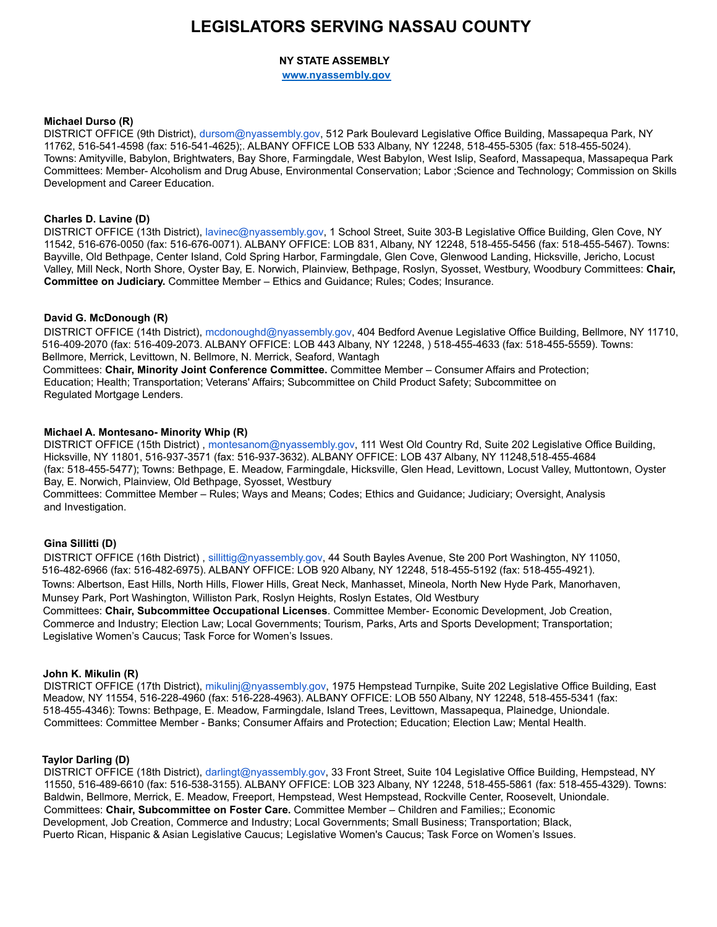# **LEGISLATORS SERVING NASSAU COUNTY**

# **NY STATE ASSEMBLY**

**[www.nyassembly.gov](http://www.nyassembly.gov)**

#### **Michael Durso (R)**

DISTRICT OFFICE (9th District), dursom@nyassembly.gov, 512 Park Boulevard Legislative Office Building, Massapequa Park, NY 11762, 516-541-4598 (fax: 516-541-4625);. ALBANY OFFICE LOB 533 Albany, NY 12248, 518-455-5305 (fax: 518-455-5024). Towns: Amityville, Babylon, Brightwaters, Bay Shore, Farmingdale, West Babylon, West Islip, Seaford, Massapequa, Massapequa Park Committees: Member- Alcoholism and Drug Abuse, Environmental Conservation; Labor ;Science and Technology; Commission on Skills Development and Career Education.

# **Charles D. Lavine (D)**

DISTRICT OFFICE (13th District), lavinec@nyassembly.gov, 1 School Street, Suite 303-B Legislative Office Building, Glen Cove, NY 11542, 516-676-0050 (fax: 516-676-0071). ALBANY OFFICE: LOB 831, Albany, NY 12248, 518-455-5456 (fax: 518-455-5467). Towns: Bayville, Old Bethpage, Center Island, Cold Spring Harbor, Farmingdale, Glen Cove, Glenwood Landing, Hicksville, Jericho, Locust Valley, Mill Neck, North Shore, Oyster Bay, E. Norwich, Plainview, Bethpage, Roslyn, Syosset, Westbury, Woodbury Committees: **Chair, Committee on Judiciary.** Committee Member – Ethics and Guidance; Rules; Codes; Insurance.

# **David G. McDonough (R)**

DISTRICT OFFICE (14th District), mcdonoughd@nyassembly.gov, 404 Bedford Avenue Legislative Office Building, Bellmore, NY 11710, 516-409-2070 (fax: 516-409-2073. ALBANY OFFICE: LOB 443 Albany, NY 12248, ) 518-455-4633 (fax: 518-455-5559). Towns: Bellmore, Merrick, Levittown, N. Bellmore, N. Merrick, Seaford, Wantagh Committees: **Chair, Minority Joint Conference Committee.** Committee Member – Consumer Affairs and Protection; Education; Health; Transportation; Veterans' Affairs; Subcommittee on Child Product Safety; Subcommittee on Regulated Mortgage Lenders.

# **Michael A. Montesano- Minority Whip (R)**

DISTRICT OFFICE (15th District) , montesanom@nyassembly.gov, 111 West Old Country Rd, Suite 202 Legislative Office Building, Hicksville, NY 11801, 516-937-3571 (fax: 516-937-3632). ALBANY OFFICE: LOB 437 Albany, NY 11248,518-455-4684 (fax: 518-455-5477); Towns: Bethpage, E. Meadow, Farmingdale, Hicksville, Glen Head, Levittown, Locust Valley, Muttontown, Oyster Bay, E. Norwich, Plainview, Old Bethpage, Syosset, Westbury

Committees: Committee Member – Rules; Ways and Means; Codes; Ethics and Guidance; Judiciary; Oversight, Analysis and Investigation.

# **Gina Sillitti (D)**

DISTRICT OFFICE (16th District), sillittig@nyassembly.gov, 44 South Bayles Avenue, Ste 200 Port Washington, NY 11050, 516-482-6966 (fax: 516-482-6975). ALBANY OFFICE: LOB 920 Albany, NY 12248, 518-455-5192 (fax: 518-455-4921). Towns: Albertson, East Hills, North Hills, Flower Hills, Great Neck, Manhasset, Mineola, North New Hyde Park, Manorhaven, Munsey Park, Port Washington, Williston Park, Roslyn Heights, Roslyn Estates, Old Westbury

Committees: **Chair, Subcommittee Occupational Licenses**. Committee Member- Economic Development, Job Creation, Commerce and Industry; Election Law; Local Governments; Tourism, Parks, Arts and Sports Development; Transportation; Legislative Women's Caucus; Task Force for Women's Issues.

#### **John K. Mikulin (R)**

DISTRICT OFFICE (17th District), mikulinj@nyassembly.gov, 1975 Hempstead Turnpike, Suite 202 Legislative Office Building, East Meadow, NY 11554, 516-228-4960 (fax: 516-228-4963). ALBANY OFFICE: LOB 550 Albany, NY 12248, 518-455-5341 (fax: 518-455-4346): Towns: Bethpage, E. Meadow, Farmingdale, Island Trees, Levittown, Massapequa, Plainedge, Uniondale. Committees: Committee Member - Banks; Consumer Affairs and Protection; Education; Election Law; Mental Health.

#### **Taylor Darling (D)**

DISTRICT OFFICE (18th District), darlingt@nyassembly.gov, 33 Front Street, Suite 104 Legislative Office Building, Hempstead, NY 11550, 516-489-6610 (fax: 516-538-3155). ALBANY OFFICE: LOB 323 Albany, NY 12248, 518-455-5861 (fax: 518-455-4329). Towns: Baldwin, Bellmore, Merrick, E. Meadow, Freeport, Hempstead, West Hempstead, Rockville Center, Roosevelt, Uniondale. Committees: **Chair, Subcommittee on Foster Care.** Committee Member – Children and Families;; Economic Development, Job Creation, Commerce and Industry; Local Governments; Small Business; Transportation; Black, Puerto Rican, Hispanic & Asian Legislative Caucus; Legislative Women's Caucus; Task Force on Women's Issues.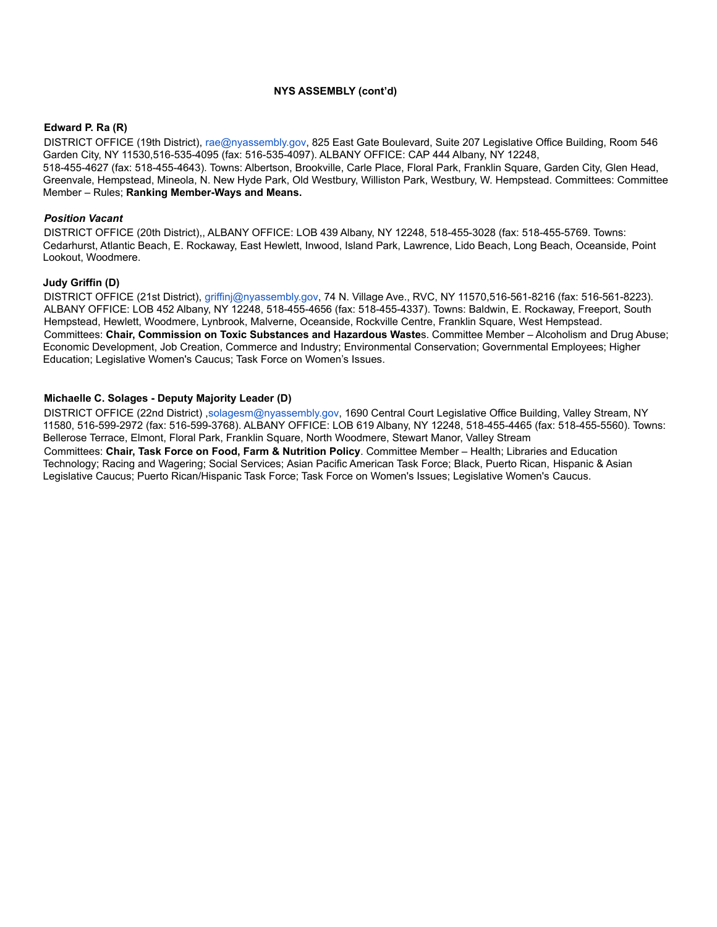#### **NYS ASSEMBLY (cont'd)**

#### **Edward P. Ra (R)**

DISTRICT OFFICE (19th District), rae@nyassembly.gov, 825 East Gate Boulevard, Suite 207 Legislative Office Building, Room 546 Garden City, NY 11530,516-535-4095 (fax: 516-535-4097). ALBANY OFFICE: CAP 444 Albany, NY 12248, 518-455-4627 (fax: 518-455-4643). Towns: Albertson, Brookville, Carle Place, Floral Park, Franklin Square, Garden City, Glen Head, Greenvale, Hempstead, Mineola, N. New Hyde Park, Old Westbury, Williston Park, Westbury, W. Hempstead. Committees: Committee Member – Rules; **Ranking Member-Ways and Means.**

#### *Position Vacant*

DISTRICT OFFICE (20th District),, ALBANY OFFICE: LOB 439 Albany, NY 12248, 518-455-3028 (fax: 518-455-5769. Towns: Cedarhurst, Atlantic Beach, E. Rockaway, East Hewlett, Inwood, Island Park, Lawrence, Lido Beach, Long Beach, Oceanside, Point Lookout, Woodmere.

#### **Judy Griffin (D)**

DISTRICT OFFICE (21st District), griffinj@nyassembly.gov, 74 N. Village Ave., RVC, NY 11570,516-561-8216 (fax: 516-561-8223). ALBANY OFFICE: LOB 452 Albany, NY 12248, 518-455-4656 (fax: 518-455-4337). Towns: Baldwin, E. Rockaway, Freeport, South Hempstead, Hewlett, Woodmere, Lynbrook, Malverne, Oceanside, Rockville Centre, Franklin Square, West Hempstead. Committees: **Chair, Commission on Toxic Substances and Hazardous Waste**s. Committee Member – Alcoholism and Drug Abuse; Economic Development, Job Creation, Commerce and Industry; Environmental Conservation; Governmental Employees; Higher Education; Legislative Women's Caucus; Task Force on Women's Issues.

#### **Michaelle C. Solages - Deputy Majority Leader (D)**

DISTRICT OFFICE (22nd District) ,solagesm@nyassembly.gov, 1690 Central Court Legislative Office Building, Valley Stream, NY 11580, 516-599-2972 (fax: 516-599-3768). ALBANY OFFICE: LOB 619 Albany, NY 12248, 518-455-4465 (fax: 518-455-5560). Towns: Bellerose Terrace, Elmont, Floral Park, Franklin Square, North Woodmere, Stewart Manor, Valley Stream

Committees: **Chair, Task Force on Food, Farm & Nutrition Policy**. Committee Member – Health; Libraries and Education Technology; Racing and Wagering; Social Services; Asian Pacific American Task Force; Black, Puerto Rican, Hispanic & Asian Legislative Caucus; Puerto Rican/Hispanic Task Force; Task Force on Women's Issues; Legislative Women's Caucus.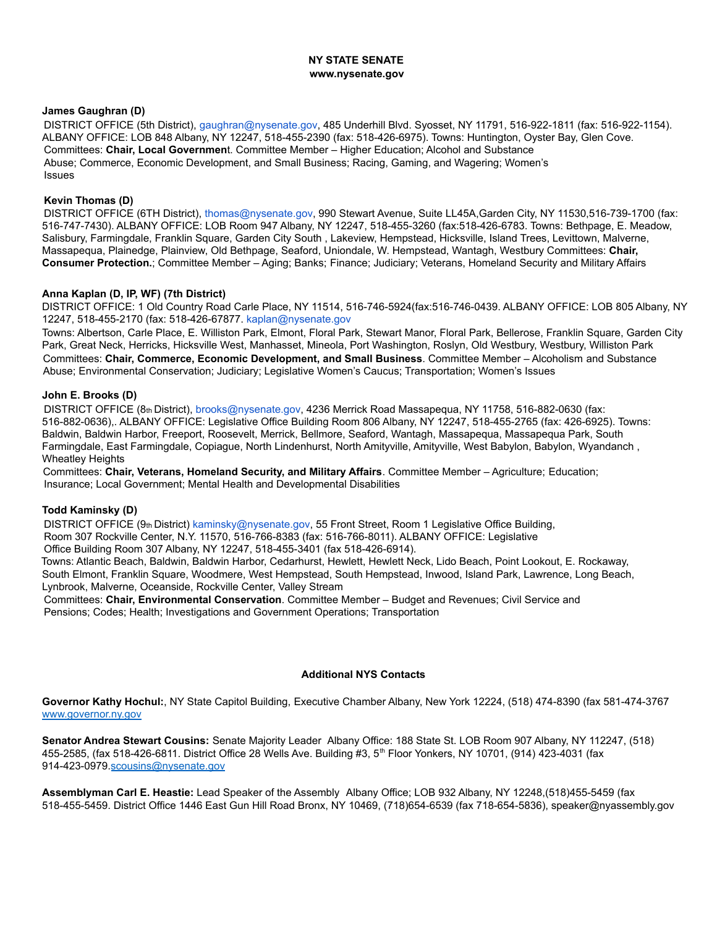#### **NY STATE SENATE www.nysenate.gov**

## **James Gaughran (D)**

DISTRICT OFFICE (5th District), gaughran@nysenate.gov, 485 Underhill Blvd. Syosset, NY 11791, 516-922-1811 (fax: 516-922-1154). ALBANY OFFICE: LOB 848 Albany, NY 12247, 518-455-2390 (fax: 518-426-6975). Towns: Huntington, Oyster Bay, Glen Cove. Committees: **Chair, Local Governmen**t. Committee Member – Higher Education; Alcohol and Substance Abuse; Commerce, Economic Development, and Small Business; Racing, Gaming, and Wagering; Women's Issues

#### **Kevin Thomas (D)**

DISTRICT OFFICE (6TH District), thomas@nysenate.gov, 990 Stewart Avenue, Suite LL45A,Garden City, NY 11530,516-739-1700 (fax: 516-747-7430). ALBANY OFFICE: LOB Room 947 Albany, NY 12247, 518-455-3260 (fax:518-426-6783. Towns: Bethpage, E. Meadow, Salisbury, Farmingdale, Franklin Square, Garden City South , Lakeview, Hempstead, Hicksville, Island Trees, Levittown, Malverne, Massapequa, Plainedge, Plainview, Old Bethpage, Seaford, Uniondale, W. Hempstead, Wantagh, Westbury Committees: **Chair, Consumer Protection.**; Committee Member – Aging; Banks; Finance; Judiciary; Veterans, Homeland Security and Military Affairs

#### **Anna Kaplan (D, IP, WF) (7th District)**

DISTRICT OFFICE: 1 Old Country Road Carle Place, NY 11514, 516-746-5924(fax:516-746-0439. ALBANY OFFICE: LOB 805 Albany, NY 12247, 518-455-2170 (fax: 518-426-67877. kaplan@nysenate.gov

Towns: Albertson, Carle Place, E. Williston Park, Elmont, Floral Park, Stewart Manor, Floral Park, Bellerose, Franklin Square, Garden City Park, Great Neck, Herricks, Hicksville West, Manhasset, Mineola, Port Washington, Roslyn, Old Westbury, Westbury, Williston Park Committees: **Chair, Commerce, Economic Development, and Small Business**. Committee Member – Alcoholism and Substance Abuse; Environmental Conservation; Judiciary; Legislative Women's Caucus; Transportation; Women's Issues

#### **John E. Brooks (D)**

DISTRICT OFFICE (8th District), brooks@nysenate.gov, 4236 Merrick Road Massapequa, NY 11758, 516-882-0630 (fax: 516-882-0636),. ALBANY OFFICE: Legislative Office Building Room 806 Albany, NY 12247, 518-455-2765 (fax: 426-6925). Towns: Baldwin, Baldwin Harbor, Freeport, Roosevelt, Merrick, Bellmore, Seaford, Wantagh, Massapequa, Massapequa Park, South Farmingdale, East Farmingdale, Copiague, North Lindenhurst, North Amityville, Amityville, West Babylon, Babylon, Wyandanch , Wheatley Heights

Committees: **Chair, Veterans, Homeland Security, and Military Affairs**. Committee Member – Agriculture; Education; Insurance; Local Government; Mental Health and Developmental Disabilities

#### **Todd Kaminsky (D)**

DISTRICT OFFICE (9th District) kaminsky@nysenate.gov, 55 Front Street, Room 1 Legislative Office Building, Room 307 Rockville Center, N.Y. 11570, 516-766-8383 (fax: 516-766-8011). ALBANY OFFICE: Legislative Office Building Room 307 Albany, NY 12247, 518-455-3401 (fax 518-426-6914). Towns: Atlantic Beach, Baldwin, Baldwin Harbor, Cedarhurst, Hewlett, Hewlett Neck, Lido Beach, Point Lookout, E. Rockaway,

South Elmont, Franklin Square, Woodmere, West Hempstead, South Hempstead, Inwood, Island Park, Lawrence, Long Beach, Lynbrook, Malverne, Oceanside, Rockville Center, Valley Stream

Committees: **Chair, Environmental Conservation**. Committee Member – Budget and Revenues; Civil Service and Pensions; Codes; Health; Investigations and Government Operations; Transportation

#### **Additional NYS Contacts**

**Governor Kathy Hochul:**, NY State Capitol Building, Executive Chamber Albany, New York 12224, (518) 474-8390 (fax 581-474-3767 [www.governor.ny.gov](http://www.governor.ny.gov)

**Senator Andrea Stewart Cousins:** Senate Majority Leader Albany Office: 188 State St. LOB Room 907 Albany, NY 112247, (518) 455-2585, (fax 518-426-6811. District Office 28 Wells Ave. Building #3, 5th Floor Yonkers, NY 10701, (914) 423-4031 (fax 914-423-0979.[scousins@nysenate.gov](mailto:scousins@nysenate.gov)

**Assemblyman Carl E. Heastie:** Lead Speaker of the Assembly Albany Office; LOB 932 Albany, NY 12248,(518)455-5459 (fax 518-455-5459. District Office 1446 East Gun Hill Road Bronx, NY 10469, (718)654-6539 (fax 718-654-5836), speaker@nyassembly.gov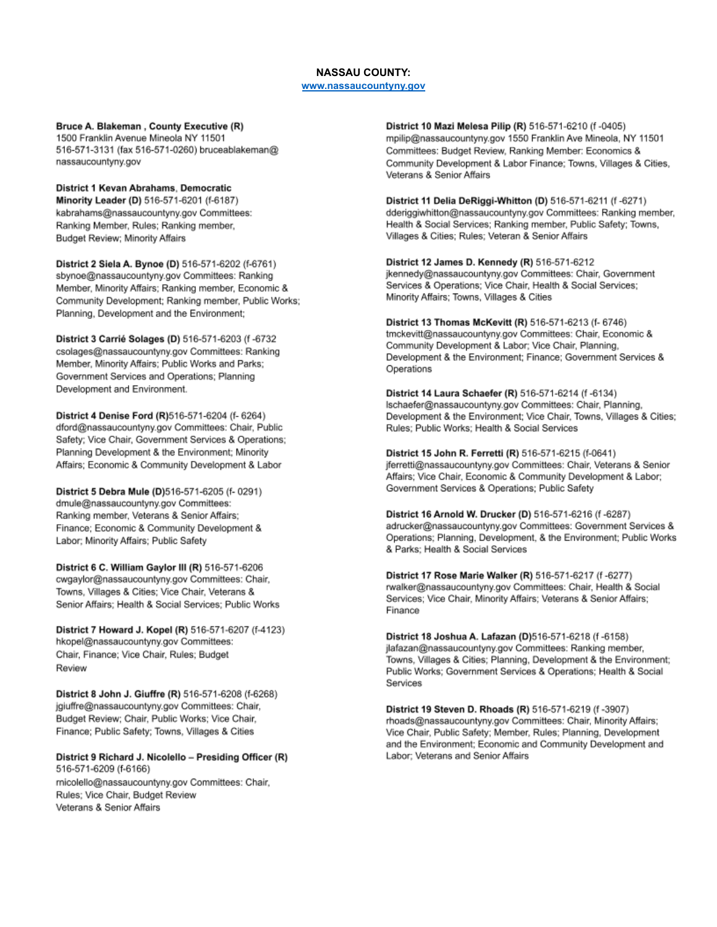# **NASSAU COUNTY:**

## www.nassaucountyny.gov

Bruce A. Blakeman, County Executive (R) 1500 Franklin Avenue Mineola NY 11501 516-571-3131 (fax 516-571-0260) bruceablakeman@ nassaucountyny.gov

District 1 Kevan Abrahams, Democratic Minority Leader (D) 516-571-6201 (f-6187) kabrahams@nassaucountyny.gov Committees: Ranking Member, Rules; Ranking member, Budget Review; Minority Affairs

District 2 Siela A. Bynoe (D) 516-571-6202 (f-6761) sbynoe@nassaucountyny.gov Committees: Ranking Member, Minority Affairs; Ranking member, Economic & Community Development; Ranking member, Public Works; Planning, Development and the Environment;

District 3 Carrié Solages (D) 516-571-6203 (f -6732 csolages@nassaucountyny.gov Committees: Ranking Member, Minority Affairs; Public Works and Parks; Government Services and Operations; Planning Development and Environment.

District 4 Denise Ford (R)516-571-6204 (f- 6264) dford@nassaucountyny.gov Committees: Chair, Public Safety; Vice Chair, Government Services & Operations; Planning Development & the Environment; Minority Affairs; Economic & Community Development & Labor

District 5 Debra Mule (D)516-571-6205 (f- 0291) dmule@nassaucountyny.gov Committees: Ranking member, Veterans & Senior Affairs; Finance; Economic & Community Development & Labor; Minority Affairs; Public Safety

District 6 C. William Gaylor III (R) 516-571-6206 cwgaylor@nassaucountyny.gov Committees: Chair, Towns, Villages & Cities; Vice Chair, Veterans & Senior Affairs; Health & Social Services; Public Works

District 7 Howard J. Kopel (R) 516-571-6207 (f-4123) hkopel@nassaucountyny.gov Committees: Chair, Finance; Vice Chair, Rules; Budget Review

District 8 John J. Giuffre (R) 516-571-6208 (f-6268) jgiuffre@nassaucountyny.gov Committees: Chair, Budget Review; Chair, Public Works; Vice Chair, Finance; Public Safety; Towns, Villages & Cities

District 9 Richard J. Nicolello - Presiding Officer (R) 516-571-6209 (f-6166) micolello@nassaucountyny.gov Committees: Chair, Rules; Vice Chair, Budget Review Veterans & Senior Affairs

District 10 Mazi Melesa Pilip (R) 516-571-6210 (f-0405) mpilip@nassaucountyny.gov 1550 Franklin Ave Mineola, NY 11501 Committees: Budget Review, Ranking Member: Economics & Community Development & Labor Finance; Towns, Villages & Cities, Veterans & Senior Affairs

District 11 Delia DeRiggi-Whitton (D) 516-571-6211 (f-6271) dderiggiwhitton@nassaucountyny.gov Committees: Ranking member, Health & Social Services; Ranking member, Public Safety; Towns, Villages & Cities; Rules; Veteran & Senior Affairs

District 12 James D. Kennedy (R) 516-571-6212 jkennedy@nassaucountyny.gov Committees: Chair, Government Services & Operations; Vice Chair, Health & Social Services; Minority Affairs; Towns, Villages & Cities

District 13 Thomas McKevitt (R) 516-571-6213 (f- 6746) tmckevitt@nassaucountyny.gov Committees: Chair, Economic & Community Development & Labor; Vice Chair, Planning, Development & the Environment; Finance; Government Services & Operations

District 14 Laura Schaefer (R) 516-571-6214 (f -6134) Ischaefer@nassaucountyny.gov Committees: Chair, Planning, Development & the Environment; Vice Chair, Towns, Villages & Cities; Rules; Public Works; Health & Social Services

District 15 John R. Ferretti (R) 516-571-6215 (f-0641) jferretti@nassaucountyny.gov Committees: Chair, Veterans & Senior Affairs; Vice Chair, Economic & Community Development & Labor; Government Services & Operations; Public Safety

District 16 Arnold W. Drucker (D) 516-571-6216 (f-6287) adrucker@nassaucountyny.gov Committees: Government Services & Operations; Planning, Development, & the Environment; Public Works & Parks; Health & Social Services

District 17 Rose Marie Walker (R) 516-571-6217 (f-6277) rwalker@nassaucountyny.gov Committees: Chair, Health & Social Services; Vice Chair, Minority Affairs; Veterans & Senior Affairs; Finance

District 18 Joshua A. Lafazan (D)516-571-6218 (f-6158) jlafazan@nassaucountyny.gov Committees: Ranking member, Towns, Villages & Cities; Planning, Development & the Environment; Public Works; Government Services & Operations; Health & Social Services

District 19 Steven D. Rhoads (R) 516-571-6219 (f-3907) rhoads@nassaucountyny.gov Committees: Chair, Minority Affairs; Vice Chair, Public Safety; Member, Rules; Planning, Development and the Environment; Economic and Community Development and Labor; Veterans and Senior Affairs